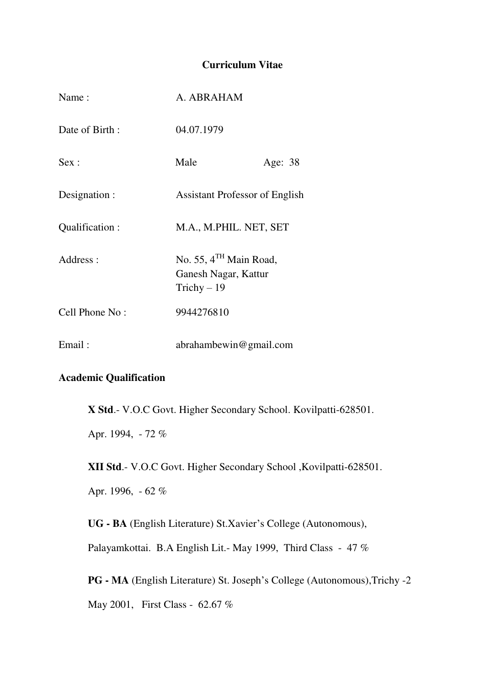### **Curriculum Vitae**

| Name:          | A. ABRAHAM                                                       |         |
|----------------|------------------------------------------------------------------|---------|
| Date of Birth: | 04.07.1979                                                       |         |
| Sex:           | Male                                                             | Age: 38 |
| Designation :  | <b>Assistant Professor of English</b>                            |         |
| Qualification: | M.A., M.PHIL. NET, SET                                           |         |
| Address:       | No. 55, $4TH$ Main Road,<br>Ganesh Nagar, Kattur<br>Trichy $-19$ |         |
| Cell Phone No: | 9944276810                                                       |         |
| Email:         | abrahambewin@gmail.com                                           |         |

### **Academic Qualification**

**X Std**.- V.O.C Govt. Higher Secondary School. Kovilpatti-628501.

Apr. 1994, - 72 %

**XII Std**.- V.O.C Govt. Higher Secondary School ,Kovilpatti-628501.

Apr. 1996, - 62 %

**UG - BA** (English Literature) St.Xavier's College (Autonomous),

Palayamkottai. B.A English Lit.- May 1999, Third Class - 47 %

**PG - MA** (English Literature) St. Joseph's College (Autonomous),Trichy -2

May 2001, First Class - 62.67 %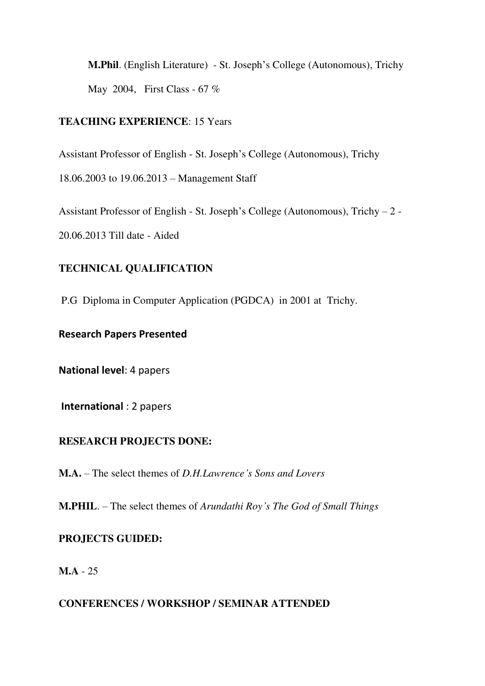**M.Phil**. (English Literature) - St. Joseph's College (Autonomous), Trichy May 2004, First Class - 67 %

## **TEACHING EXPERIENCE**: 15 Years

Assistant Professor of English - St. Joseph's College (Autonomous), Trichy

18.06.2003 to 19.06.2013 – Management Staff

Assistant Professor of English - St. Joseph's College (Autonomous), Trichy – 2 -

20.06.2013 Till date - Aided

# **TECHNICAL QUALIFICATION**

P.G Diploma in Computer Application (PGDCA) in 2001 at Trichy.

# **Research Papers Presented**

**National level**: 4 papers

**International** : 2 papers

# **RESEARCH PROJECTS DONE:**

**M.A.** – The select themes of *D.H.Lawrence's Sons and Lovers*

**M.PHIL**. – The select themes of *Arundathi Roy's The God of Small Things*

# **PROJECTS GUIDED:**

**M.A** - 25

## **CONFERENCES / WORKSHOP / SEMINAR ATTENDED**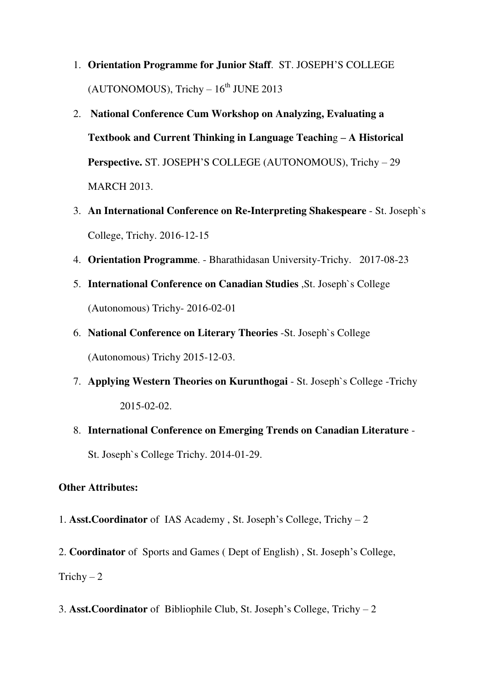- 1. **Orientation Programme for Junior Staff**. ST. JOSEPH'S COLLEGE  $(AUTONOMOUS)$ , Trichy  $-16<sup>th</sup>$  JUNE 2013
- 2. **National Conference Cum Workshop on Analyzing, Evaluating a Textbook and Current Thinking in Language Teachin**g **– A Historical Perspective.** ST. JOSEPH'S COLLEGE (AUTONOMOUS), Trichy – 29 MARCH 2013.
- 3. **An International Conference on Re-Interpreting Shakespeare** St. Joseph`s College, Trichy. 2016-12-15
- 4. **Orientation Programme**. Bharathidasan University-Trichy. 2017-08-23
- 5. **International Conference on Canadian Studies** ,St. Joseph`s College (Autonomous) Trichy- 2016-02-01
- 6. **National Conference on Literary Theories** -St. Joseph`s College (Autonomous) Trichy 2015-12-03.
- 7. **Applying Western Theories on Kurunthogai** St. Joseph`s College -Trichy 2015-02-02.
- 8. **International Conference on Emerging Trends on Canadian Literature** St. Joseph`s College Trichy. 2014-01-29.

#### **Other Attributes:**

1. **Asst.Coordinator** of IAS Academy , St. Joseph's College, Trichy – 2

2. **Coordinator** of Sports and Games ( Dept of English) , St. Joseph's College, Trichy  $-2$ 

3. **Asst.Coordinator** of Bibliophile Club, St. Joseph's College, Trichy – 2